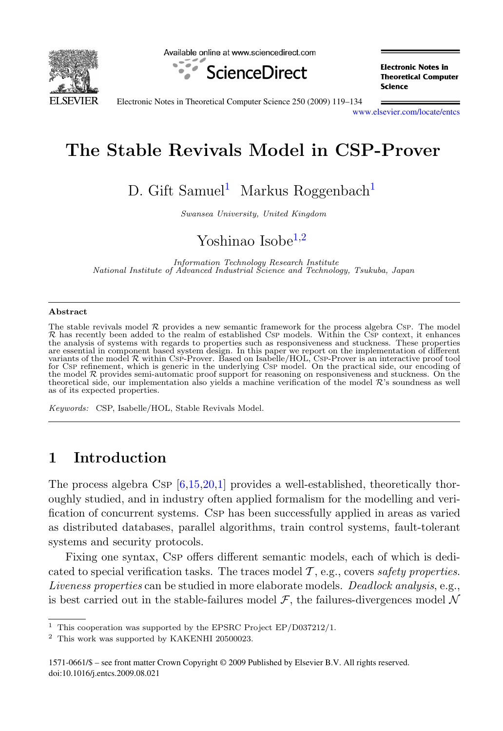

Available online at www.sciencedirect.com



**Electronic Notes in Theoretical Computer** Science

Electronic Notes in Theoretical Computer Science 250 (2009) 119–134

[www.elsevier.com/locate/entcs](http://www.elsevier.com/locate/entcs)

# **The Stable Revivals Model in CSP-Prover**

D. Gift Samuel<sup>1</sup> Markus Roggenbach<sup>1</sup>

Swansea University, United Kingdom

## Yoshinao Isobe $1,2$

Information Technology Research Institute National Institute of Advanced Industrial Science and Technology, Tsukuba, Japan

#### **Abstract**

The stable revivals model  $\mathcal R$  provides a new semantic framework for the process algebra Csp. The model<br> $\mathcal R$  has recently been added to the realm of established Csp models. Within the Csp context, it enhances<br>the cont the analysis of systems with regards to properties such as responsiveness and stuckness. These properties are essential in component based system design. In this paper we report on the implementation of different<br>variants of the model R within Csp-Prover. Based on Isabelle/HOL, Csp-Prover is an interactive proof tool<br>fraction for Csp refinement, which is generic in the underlying Csp model. On the practical side, our encoding of the model R provides semi-automatic proof support for reasoning on responsiveness and stuckness. On the model R<br>theoretical side, our implementation also yields a machine verification of the model R's soundness as well<br>exe as of its expected properties.

Keywords: CSP, Isabelle/HOL, Stable Revivals Model.

### **1 Introduction**

The process algebra Csp  $[6,15,20,1]$  $[6,15,20,1]$  $[6,15,20,1]$  provides a well-established, theoretically thoroughly studied, and in industry often applied formalism for the modelling and verification of concurrent systems. Csp has been successfully applied in areas as varied as distributed databases, parallel algorithms, train control systems, fault-tolerant systems and security protocols.

Fixing one syntax, Csp offers different semantic models, each of which is dedicated to special verification tasks. The traces model  $\mathcal{T}$ , e.g., covers safety properties. Liveness properties can be studied in more elaborate models. Deadlock analysis, e.g., is best carried out in the stable-failures model  $\mathcal{F}$ , the failures-divergences model  $\mathcal{N}$ 

<sup>&</sup>lt;sup>1</sup> This cooperation was supported by the EPSRC Project EP/D037212/1.

<sup>2</sup> This work was supported by KAKENHI 20500023.

<sup>1571-0661/\$ –</sup> see front matter Crown Copyright © 2009 Published by Elsevier B.V. All rights reserved. doi:10.1016/j.entcs.2009.08.021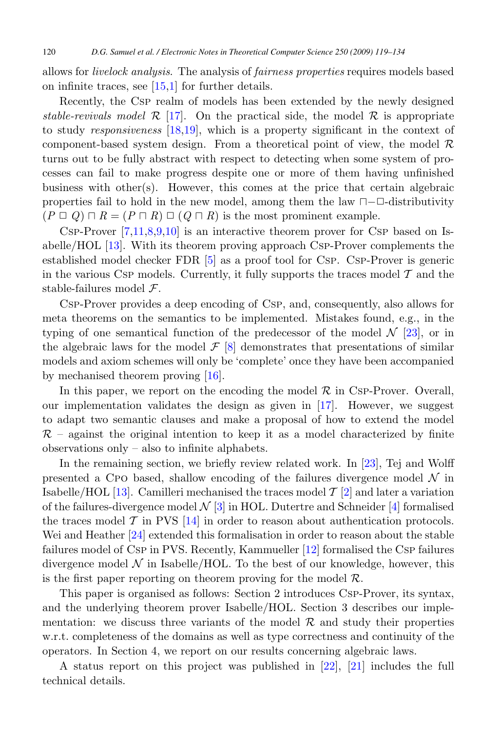allows for livelock analysis. The analysis of fairness properties requires models based on infinite traces, see  $[15,1]$  $[15,1]$  for further details.

Recently, the Csp realm of models has been extended by the newly designed stable-revivals model  $\mathcal{R}$  [\[17\]](#page-15-0). On the practical side, the model  $\mathcal{R}$  is appropriate to study responsiveness [\[18,19\]](#page-15-0), which is a property significant in the context of component-based system design. From a theoretical point of view, the model  $\mathcal R$ turns out to be fully abstract with respect to detecting when some system of processes can fail to make progress despite one or more of them having unfinished business with other(s). However, this comes at the price that certain algebraic properties fail to hold in the new model, among them the law  $\Box$ - $\Box$ -distributivity  $(P \sqcup Q) \sqcap R = (P \sqcap R) \sqcup (Q \sqcap R)$  is the most prominent example.

CSP-Prover  $[7,11,8,9,10]$  is an interactive theorem prover for CSP based on Isabelle/HOL [\[13\]](#page-15-0). With its theorem proving approach Csp-Prover complements the established model checker FDR [\[5\]](#page-14-0) as a proof tool for Csp. Csp-Prover is generic in the various CsP models. Currently, it fully supports the traces model  $\mathcal T$  and the stable-failures model F.

Csp-Prover provides a deep encoding of Csp, and, consequently, also allows for meta theorems on the semantics to be implemented. Mistakes found, e.g., in the typing of one semantical function of the predecessor of the model  $\mathcal{N}$  [\[23\]](#page-15-0), or in the algebraic laws for the model  $\mathcal{F}$  [\[8\]](#page-15-0) demonstrates that presentations of similar models and axiom schemes will only be 'complete' once they have been accompanied by mechanised theorem proving [\[16\]](#page-15-0).

In this paper, we report on the encoding the model  $\mathcal R$  in Csp-Prover. Overall, our implementation validates the design as given in  $[17]$ . However, we suggest to adapt two semantic clauses and make a proposal of how to extend the model  $\mathcal{R}$  – against the original intention to keep it as a model characterized by finite observations only – also to infinite alphabets.

In the remaining section, we briefly review related work. In [\[23\]](#page-15-0), Tej and Wolff presented a CPO based, shallow encoding of the failures divergence model  $\mathcal N$  in Isabelle/HOL [\[13\]](#page-15-0). Camilleri mechanised the traces model  $\mathcal{T}$  [\[2\]](#page-14-0) and later a variation of the failures-divergence model  $\mathcal{N}$  [\[3\]](#page-14-0) in HOL. Dutertre and Schneider [\[4\]](#page-14-0) formalised the traces model  $\mathcal T$  in PVS [\[14\]](#page-15-0) in order to reason about authentication protocols. Wei and Heather [\[24\]](#page-15-0) extended this formalisation in order to reason about the stable failures model of Csp in PVS. Recently, Kammueller [\[12\]](#page-15-0) formalised the Csp failures divergence model  $\mathcal N$  in Isabelle/HOL. To the best of our knowledge, however, this is the first paper reporting on theorem proving for the model  $\mathcal{R}$ .

This paper is organised as follows: Section 2 introduces Csp-Prover, its syntax, and the underlying theorem prover Isabelle/HOL. Section 3 describes our implementation: we discuss three variants of the model  $\mathcal R$  and study their properties w.r.t. completeness of the domains as well as type correctness and continuity of the operators. In Section 4, we report on our results concerning algebraic laws.

A status report on this project was published in [\[22\]](#page-15-0), [\[21\]](#page-15-0) includes the full technical details.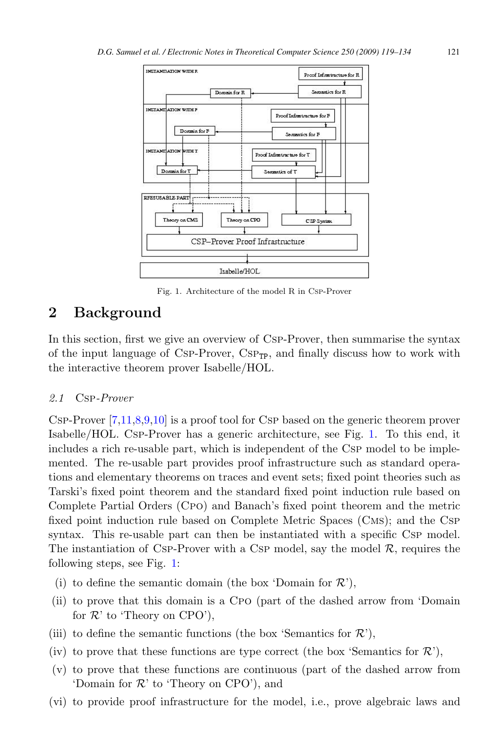

Fig. 1. Architecture of the model R in Csp-Prover

### **2 Background**

In this section, first we give an overview of Csp-Prover, then summarise the syntax of the input language of CSP-Prover,  $CSP_{\text{TP}}$ , and finally discuss how to work with the interactive theorem prover Isabelle/HOL.

#### 2.1 Csp-Prover

Csp-Prover [\[7,11,8,9,10\]](#page-15-0) is a proof tool for Csp based on the generic theorem prover Isabelle/HOL. Csp-Prover has a generic architecture, see Fig. 1. To this end, it includes a rich re-usable part, which is independent of the Csp model to be implemented. The re-usable part provides proof infrastructure such as standard operations and elementary theorems on traces and event sets; fixed point theories such as Tarski's fixed point theorem and the standard fixed point induction rule based on Complete Partial Orders (Cpo) and Banach's fixed point theorem and the metric fixed point induction rule based on Complete Metric Spaces (Cms); and the Csp syntax. This re-usable part can then be instantiated with a specific CsP model. The instantiation of Csp-Prover with a Csp model, say the model  $\mathcal{R}$ , requires the following steps, see Fig. 1:

- (i) to define the semantic domain (the box 'Domain for  $\mathcal{R}$ '),
- (ii) to prove that this domain is a Cpo (part of the dashed arrow from 'Domain for  $\mathcal{R}'$  to 'Theory on CPO'),
- (iii) to define the semantic functions (the box 'Semantics for  $\mathcal{R}$ '),
- (iv) to prove that these functions are type correct (the box 'Semantics for  $\mathcal{R}'$ ),
- (v) to prove that these functions are continuous (part of the dashed arrow from 'Domain for  $\mathcal{R}'$  to 'Theory on CPO'), and
- (vi) to provide proof infrastructure for the model, i.e., prove algebraic laws and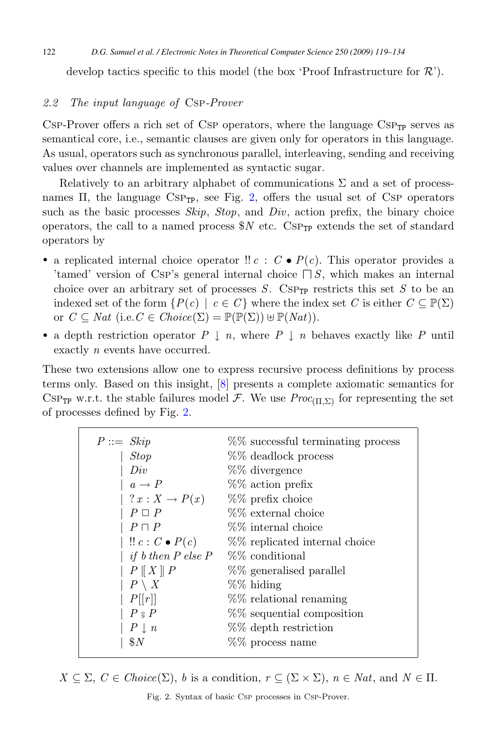<span id="page-3-0"></span>develop tactics specific to this model (the box 'Proof Infrastructure for  $\mathcal{R}'$ ).

#### 2.2 The input language of Csp-Prover

 $CSP-Prover$  offers a rich set of  $CSP$  operators, where the language  $CSP_{TP}$  serves as semantical core, i.e., semantic clauses are given only for operators in this language. As usual, operators such as synchronous parallel, interleaving, sending and receiving values over channels are implemented as syntactic sugar.

Relatively to an arbitrary alphabet of communications  $\Sigma$  and a set of processnames  $\Pi$ , the language  $CSP_{TP}$ , see Fig. 2, offers the usual set of CsP operators such as the basic processes  $Skip$ ,  $Stop$ , and  $Div$ , action prefix, the binary choice operators, the call to a named process  $N$  etc. CSP<sub>TP</sub> extends the set of standard operators by

- a replicated internal choice operator !!  $c : C \bullet P(c)$ . This operator provides a 'tamed' version of Csp's general internal choice  $\Box S$ , which makes an internal choice space of strategy and internal choice over an arbitrary set of processes  $S$ . CsP<sub>TP</sub> restricts this set S to be an indexed set of the form  $\{P(c) \mid c \in C\}$  where the index set C is either  $C \subseteq \mathbb{P}(\Sigma)$ or  $C \subseteq Nat$  (i.e.  $C \in Choice(\Sigma) = \mathbb{P}(\mathbb{P}(\Sigma)) \cup \mathbb{P}(Nat)$ ).
- a depth restriction operator  $P \downarrow n$ , where  $P \downarrow n$  behaves exactly like P until exactly *n* events have occurred.

These two extensions allow one to express recursive process definitions by process terms only. Based on this insight, [\[8\]](#page-15-0) presents a complete axiomatic semantics for CSP<sub>TP</sub> w.r.t. the stable failures model F. We use  $Proc_{(\Pi,\Sigma)}$  for representing the set of processes defined by Fig. 2.

| $P ::=$ Skip                  | %% successful terminating process |
|-------------------------------|-----------------------------------|
| <b>Stop</b>                   | %% deadlock process               |
| Div                           | %% divergence                     |
| $a \rightarrow P$             | $%$ action prefix                 |
| $ ?x:X\rightarrow P(x) $      | $%$ prefix choice                 |
| $P \square P$                 | $%$ % external choice             |
| $P \sqcap P$                  | %% internal choice                |
| $\mid$ !! $c: C \bullet P(c)$ | %% replicated internal choice     |
| if $b$ then $P$ else $P$      | $%$ conditional                   |
| $P \parallel X \parallel P$   | %% generalised parallel           |
| $P \setminus X$               | %% hiding                         |
| P[[r]]                        | %% relational renaming            |
| $P \, \frac{8}{9} P$          | %% sequential composition         |
| $P \perp n$                   | %% depth restriction              |
| $\$N$                         | %% process name                   |
|                               |                                   |

 $X \subseteq \Sigma$ ,  $C \in Choice(\Sigma)$ , b is a condition,  $r \subseteq (\Sigma \times \Sigma)$ ,  $n \in Nat$ , and  $N \in \Pi$ .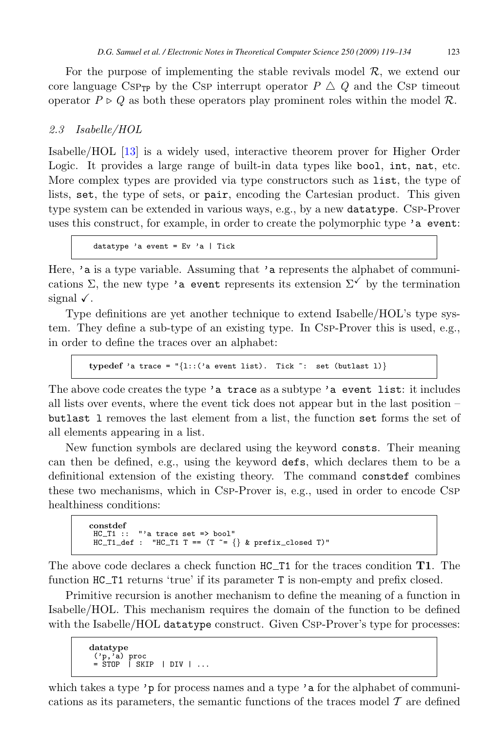<span id="page-4-0"></span>For the purpose of implementing the stable revivals model  $\mathcal{R}$ , we extend our core language CSP<sub>TP</sub> by the CSP interrupt operator  $P \triangle Q$  and the CSP timeout operator  $P \triangleright Q$  as both these operators play prominent roles within the model  $\mathcal{R}$ .

#### 2.3 Isabelle/HOL

Isabelle/HOL [\[13\]](#page-15-0) is a widely used, interactive theorem prover for Higher Order Logic. It provides a large range of built-in data types like bool, int, nat, etc. More complex types are provided via type constructors such as list, the type of lists, set, the type of sets, or pair, encoding the Cartesian product. This given type system can be extended in various ways, e.g., by a new datatype. Csp-Prover uses this construct, for example, in order to create the polymorphic type 'a event:

datatype 'a event =  $Ev$  'a | Tick

Here, 'a is a type variable. Assuming that 'a represents the alphabet of communications  $\Sigma$ , the new type 'a event represents its extension  $\Sigma^{\checkmark}$  by the termination signal  $\checkmark$ .

Type definitions are yet another technique to extend Isabelle/HOL's type system. They define a sub-type of an existing type. In Csp-Prover this is used, e.g., in order to define the traces over an alphabet:

**typedef** 'a trace =  $\sqrt[n]{1}$ ::('a event list). Tick ": set (butlast 1)}

The above code creates the type 'a trace as a subtype 'a event list: it includes all lists over events, where the event tick does not appear but in the last position – butlast l removes the last element from a list, the function set forms the set of all elements appearing in a list.

New function symbols are declared using the keyword consts. Their meaning can then be defined, e.g., using the keyword defs, which declares them to be a definitional extension of the existing theory. The command constdef combines these two mechanisms, which in Csp-Prover is, e.g., used in order to encode Csp healthiness conditions:

```
constdef
HC T1 :: "'a trace set => bool"
HCLT1\_def : "HCLT1 T == (T "= {}) & prefix_closed T)"
```
The above code declares a check function HC T1 for the traces condition **T1**. The function HC T1 returns 'true' if its parameter T is non-empty and prefix closed.

Primitive recursion is another mechanism to define the meaning of a function in Isabelle/HOL. This mechanism requires the domain of the function to be defined with the Isabelle/HOL datatype construct. Given Csp-Prover's type for processes:

```
datatype<br>
('p,'a) proc<br>
= STOP | SKIP | DIV | ...
```
which takes a type 'p for process names and a type 'a for the alphabet of communications as its parameters, the semantic functions of the traces model  $\mathcal T$  are defined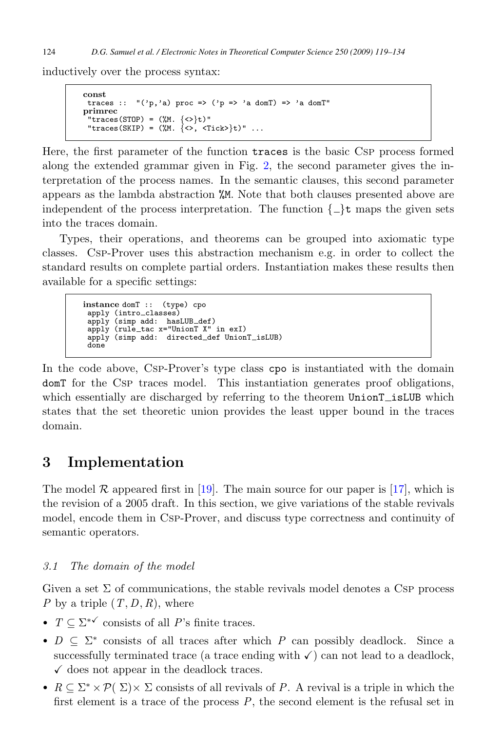<span id="page-5-0"></span>inductively over the process syntax:

```
const
 traces :: "('p,'a) proc \Rightarrow ('p \Rightarrow 'a domT) \Rightarrow 'a domT"primrec
 "traces(STOP) = (\frac{M}{N}. {<>}t)"
 "traces(SKIP) = (\mathcal{M}, \{\langle \rangle, \langle \text{Tick} \rangle\} t)" ...
```
Here, the first parameter of the function traces is the basic Csp process formed along the extended grammar given in Fig. [2,](#page-3-0) the second parameter gives the interpretation of the process names. In the semantic clauses, this second parameter appears as the lambda abstraction %M. Note that both clauses presented above are independent of the process interpretation. The function  $\{\_\}\$ t maps the given sets into the traces domain.

Types, their operations, and theorems can be grouped into axiomatic type classes. Csp-Prover uses this abstraction mechanism e.g. in order to collect the standard results on complete partial orders. Instantiation makes these results then available for a specific settings:

```
instance domT :: (type) cpo
 apply (intro_classes)<br>apply (simp add: hasLUB_def)
 apply (rule tac x="UnionT X" in exI)
 apply (simp add: directed_def UnionT_isLUB)
 done
```
In the code above, Csp-Prover's type class cpo is instantiated with the domain domT for the Csp traces model. This instantiation generates proof obligations, which essentially are discharged by referring to the theorem UnionT\_isLUB which states that the set theoretic union provides the least upper bound in the traces domain.

### **3 Implementation**

The model  $\mathcal R$  appeared first in [\[19\]](#page-15-0). The main source for our paper is [\[17\]](#page-15-0), which is the revision of a 2005 draft. In this section, we give variations of the stable revivals model, encode them in Csp-Prover, and discuss type correctness and continuity of semantic operators.

### 3.1 The domain of the model

Given a set  $\Sigma$  of communications, the stable revivals model denotes a Csp process P by a triple  $(T, D, R)$ , where

- $T \subseteq \Sigma^{* \checkmark}$  consists of all P's finite traces.
- $D \subseteq \Sigma^*$  consists of all traces after which P can possibly deadlock. Since a successfully terminated trace (a trace ending with  $\checkmark$ ) can not lead to a deadlock,  $\checkmark$  does not appear in the deadlock traces.
- $R \subseteq \Sigma^* \times \mathcal{P}(\Sigma) \times \Sigma$  consists of all revivals of P. A revival is a triple in which the first element is a trace of the process  $P$ , the second element is the refusal set in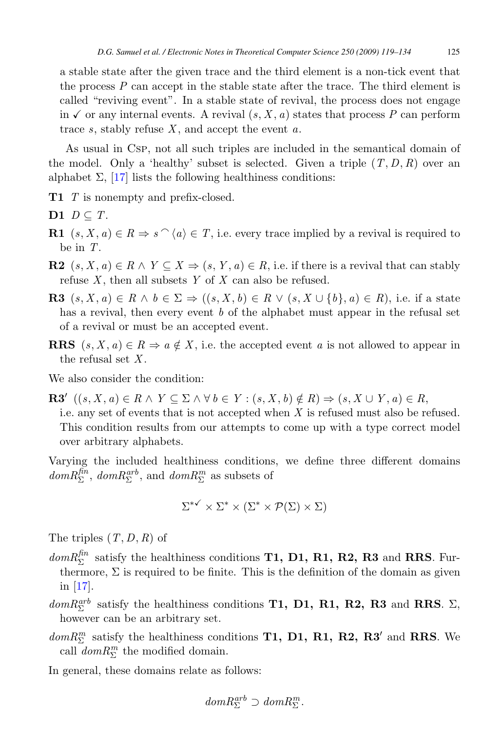a stable state after the given trace and the third element is a non-tick event that the process  $P$  can accept in the stable state after the trace. The third element is called "reviving event". In a stable state of revival, the process does not engage in  $\checkmark$  or any internal events. A revival  $(s, X, a)$  states that process P can perform trace s, stably refuse  $X$ , and accept the event  $a$ .

As usual in Csp, not all such triples are included in the semantical domain of the model. Only a 'healthy' subset is selected. Given a triple  $(T, D, R)$  over an alphabet  $\Sigma$ , [\[17\]](#page-15-0) lists the following healthiness conditions:

- **T1** T is nonempty and prefix-closed.
- **D1**  $D \subseteq T$ .
- **R1**  $(s, X, a) \in R \Rightarrow s^{\frown} \langle a \rangle \in T$ , i.e. every trace implied by a revival is required to be in T.
- **R2**  $(s, X, a) \in R \wedge Y \subseteq X \Rightarrow (s, Y, a) \in R$ , i.e. if there is a revival that can stably refuse  $X$ , then all subsets  $Y$  of  $X$  can also be refused.
- **R3**  $(s, X, a) \in R \land b \in \Sigma \Rightarrow ((s, X, b) \in R \lor (s, X \cup \{b\}, a) \in R)$ , i.e. if a state has a revival, then every event b of the alphabet must appear in the refusal set of a revival or must be an accepted event.
- **RRS**  $(s, X, a) \in R \Rightarrow a \notin X$ , i.e. the accepted event a is not allowed to appear in the refusal set  $X$ .

We also consider the condition:

**R3**'  $((s, X, a) \in R \land Y \subseteq \Sigma \land \forall b \in Y : (s, X, b) \notin R) \Rightarrow (s, X \cup Y, a) \in R$ , i.e. any set of events that is not accepted when X is refused must also be refused. This condition results from our attempts to come up with a type correct model over arbitrary alphabets.

Varying the included healthiness conditions, we define three different domains  $dom R_{\Sigma}^{fin}$ ,  $dom R_{\Sigma}^{arb}$ , and  $dom R_{\Sigma}^{m}$  as subsets of

$$
\Sigma^{*\checkmark} \times \Sigma^* \times (\Sigma^* \times \mathcal{P}(\Sigma) \times \Sigma)
$$

The triples  $(T, D, R)$  of

- $dom R_{\Sigma}^{fin}$  satisfy the healthiness conditions **T1, D1, R1, R2, R3** and **RRS**. Furthermore,  $\Sigma$  is required to be finite. This is the definition of the domain as given in [\[17\]](#page-15-0).
- $dom R_{\Sigma}^{arb}$  satisfy the healthiness conditions **T1, D1, R1, R2, R3** and **RRS**.  $\Sigma$ , however can be an arbitrary set.
- $dom R_{\Sigma}^{m}$  satisfy the healthiness conditions **T1, D1, R1, R2, R3'** and **RRS**. We call  $dom R_{\Sigma}^{m}$  the modified domain.

In general, these domains relate as follows:

$$
dom R_{\Sigma}^{arb} \supset dom R_{\Sigma}^{m}.
$$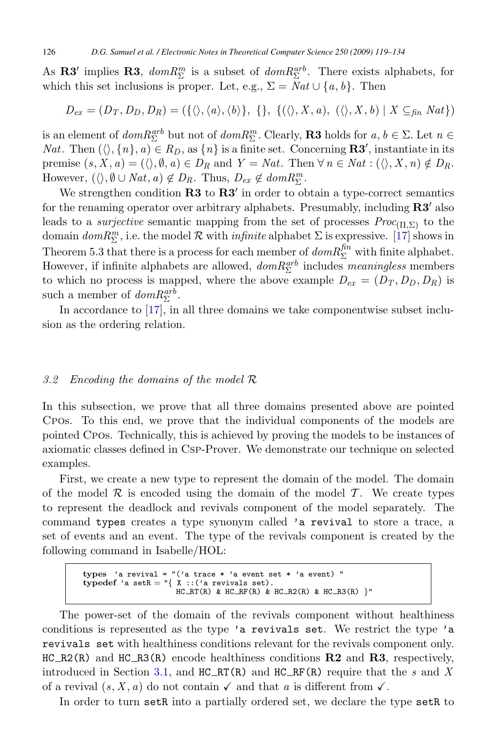<span id="page-7-0"></span>As **R3'** implies **R3**,  $dom R_{\Sigma}^{m}$  is a subset of  $dom R_{\Sigma}^{arb}$ . There exists alphabets, for which this set inclusions is proper. Let, e.g.,  $\Sigma = Nat \cup \{a, b\}$ . Then

$$
D_{ex} = (D_T, D_D, D_R) = (\{\langle \rangle, \langle a \rangle, \langle b \rangle\}, \{\}, \{\langle \langle \rangle, X, a), (\langle \rangle, X, b) \mid X \subseteq_{fin} Nat \})
$$

is an element of  $dom R_{\Sigma}^{arb}$  but not of  $dom R_{\Sigma}^m$ . Clearly, **R3** holds for  $a, b \in \Sigma$ . Let  $n \in$ Nat. Then  $(\langle \rangle, \{n\}, a) \in R_D$ , as  $\{n\}$  is a finite set. Concerning **R3'**, instantiate in its premise  $(s, X, a) = (\langle \rangle, \emptyset, a) \in D_R$  and  $Y = Nat$ . Then  $\forall n \in Nat : (\langle \rangle, X, n) \notin D_R$ . However,  $(\langle \rangle, \emptyset \cup Nat, a) \notin D_R$ . Thus,  $D_{ex} \notin dom R_{\Sigma}^m$ .

We strengthen condition **R3** to **R3** in order to obtain a type-correct semantics for the renaming operator over arbitrary alphabets. Presumably, including **R3** also leads to a *surjective* semantic mapping from the set of processes  $Proc_{(\Pi,\Sigma)}$  to the domain  $dom R_{\Sigma}^{m}$ , i.e. the model  $\mathcal{R}$  with *infinite* alphabet  $\Sigma$  is expressive. [\[17\]](#page-15-0) shows in Theorem 5.3 that there is a process for each member of  $dom R_{\Sigma}^{fin}$  with finite alphabet. However, if infinite alphabets are allowed,  $dom R^{arb}_{\Sigma}$  includes meaningless members to which no process is mapped, where the above example  $D_{ex} = (D_T, D_D, D_R)$  is such a member of  $dom R_{\Sigma}^{arb}$ .

In accordance to [\[17\]](#page-15-0), in all three domains we take componentwise subset inclusion as the ordering relation.

#### 3.2 Encoding the domains of the model R

In this subsection, we prove that all three domains presented above are pointed Cpos. To this end, we prove that the individual components of the models are pointed Cpos. Technically, this is achieved by proving the models to be instances of axiomatic classes defined in Csp-Prover. We demonstrate our technique on selected examples.

First, we create a new type to represent the domain of the model. The domain of the model R is encoded using the domain of the model T. We create types to represent the deadlock and revivals component of the model separately. The command types creates a type synonym called 'a revival to store a trace, a set of events and an event. The type of the revivals component is created by the following command in Isabelle/HOL:

```
types 'a revival = "('a trace * 'a event set * 'a event) "
typedef 'a setR = \sqrt[n]{\frac{X}{X}} ::('a revivals set).
                       HC_RT(R) & HC_RF(R) & HC_R2(R) & HC_R3(R) }"
```
The power-set of the domain of the revivals component without healthiness conditions is represented as the type 'a revivals set. We restrict the type 'a revivals set with healthiness conditions relevant for the revivals component only. HC R2(R) and HC R3(R) encode healthiness conditions **R2** and **R3**, respectively, introduced in Section [3.1,](#page-5-0) and  $HC_RT(R)$  and  $HC_RF(R)$  require that the s and X of a revival  $(s, X, a)$  do not contain  $\checkmark$  and that a is different from  $\checkmark$ .

In order to turn setR into a partially ordered set, we declare the type setR to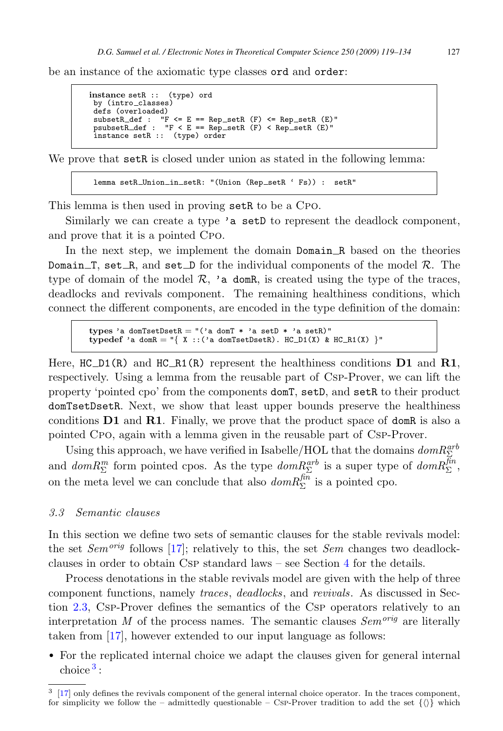be an instance of the axiomatic type classes ord and order:

```
instance setR :: (type) ord
 by (intro_classes)
 defs (overloaded)
 subsetR_def : "F <= E == Rep_setR (F) <= Rep_setR (E)"<br>psubsetR_def : "F < E == Rep_setR (F) < Rep_setR (E)"
 instance setR :: (type) order
```
We prove that setR is closed under union as stated in the following lemma:

lemma setR\_Union\_in\_setR: "(Union (Rep\_setR ' Fs)) : setR"

This lemma is then used in proving setR to be a CPO.

Similarly we can create a type 'a setD to represent the deadlock component, and prove that it is a pointed Cpo.

In the next step, we implement the domain Domain R based on the theories Domain T, set R, and set D for the individual components of the model  $\mathcal{R}$ . The type of domain of the model  $\mathcal{R}$ , 'a domR, is created using the type of the traces, deadlocks and revivals component. The remaining healthiness conditions, which connect the different components, are encoded in the type definition of the domain:

**types** 'a domTsetDsetR = "('a domT \* 'a setD \* 'a setR)"  $typedef$  'a domR = "{ X ::('a domTsetDsetR). HC\_D1(X) & HC\_R1(X) }"

Here,  $HC\_D1(R)$  and  $HC\_R1(R)$  represent the healthiness conditions  $D1$  and  $R1$ , respectively. Using a lemma from the reusable part of Csp-Prover, we can lift the property 'pointed cpo' from the components domT, setD, and setR to their product domTsetDsetR. Next, we show that least upper bounds preserve the healthiness conditions **D1** and **R1**. Finally, we prove that the product space of domR is also a pointed Cpo, again with a lemma given in the reusable part of Csp-Prover.

Using this approach, we have verified in Isabelle/HOL that the domains  $dom R_{\Sigma}^{arb}$ and  $dom R_{\Sigma}^{m}$  form pointed cpos. As the type  $dom R_{\Sigma}^{arb}$  is a super type of  $dom R_{\Sigma}^{fin}$ , on the meta level we can conclude that also  $dom R_{\Sigma}^{\text{fin}}$  is a pointed cpo.

#### 3.3 Semantic clauses

In this section we define two sets of semantic clauses for the stable revivals model: the set  $Sem^{orig}$  follows [\[17\]](#page-15-0); relatively to this, the set Sem changes two deadlockclauses in order to obtain Csp standard laws – see Section [4](#page-13-0) for the details.

Process denotations in the stable revivals model are given with the help of three component functions, namely traces, deadlocks, and revivals. As discussed in Section [2.3,](#page-4-0) Csp-Prover defines the semantics of the Csp operators relatively to an interpretation M of the process names. The semantic clauses  $Sem^{orig}$  are literally taken from [\[17\]](#page-15-0), however extended to our input language as follows:

• For the replicated internal choice we adapt the clauses given for general internal choice  $3$  :

<sup>&</sup>lt;sup>3</sup> [\[17\]](#page-15-0) only defines the revivals component of the general internal choice operator. In the traces component, for simplicity we follow the – admittedly questionable – Csp-Prover tradition to add the set  $\{\langle\rangle\}$  which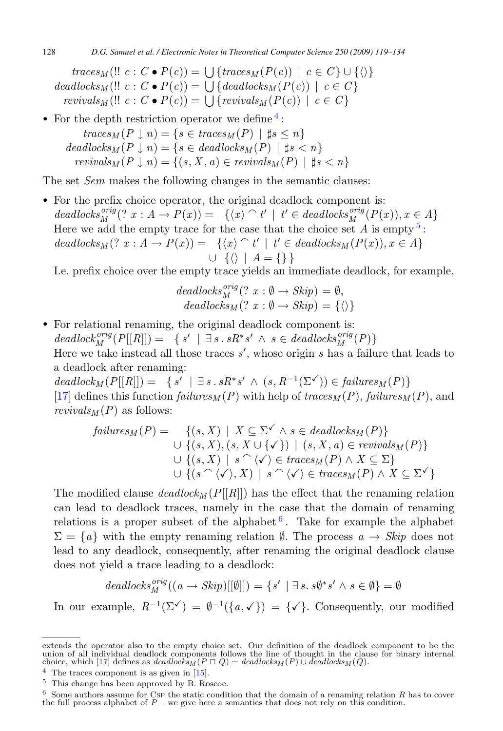$traces_M(!! c : C \bullet P(c)) = \bigcup \{traces_M(P(c)) \mid c \in C\} \cup \{\langle\rangle\}$  $deadlocks_M (!: c: C \bullet P(c)) = \bigcup \{deadlocks_M(P(c)) \mid c \in C\}$ revivals<sub>M</sub> (!!  $c: C \bullet P(c)$ ) =  $\bigcup \{revivals_M(P(c)) \mid c \in C\}$ 

• For the depth restriction operator we define  $\frac{4}{3}$ :

 $traces_M(P \mid n) = \{s \in traces_M(P) \mid \sharp s \leq n\}$  $deadlocks_M (P \mid n) = \{s \in deadlocks_M (P) \mid \sharp s < n\}$  $revivals_M (P \perp n) = \{(s, X, a) \in revivals_M (P) \mid \sharp s < n\}$ 

The set *Sem* makes the following changes in the semantic clauses:

• For the prefix choice operator, the original deadlock component is:  $deadlocks^{orig}_M(? x : A \rightarrow P(x)) = \{ \langle x \rangle \cap t' \mid t' \in deadlocks^{orig}_M(P(x)), x \in A \}$ Here we add the empty trace for the case that the choice set  $A$  is empty  $5$ :  $deadlocks_M(? x : A \rightarrow P(x)) = \{ \langle x \rangle \cap t' \mid t' \in deadlocks_M(P(x)), x \in A \}$  $\cup \{\langle\rangle \mid A = \{\}\}\$ 

I.e. prefix choice over the empty trace yields an immediate deadlock, for example,

$$
deadlocks_M^{orig}(? x : \emptyset \to Skip) = \emptyset,
$$
  

$$
deadlocks_M(? x : \emptyset \to Skip) = \{\langle \rangle\}
$$

• For relational renaming, the original deadlock component is:  $deadlock_M^{orig}(P[[R]]) = \{ s' \mid \exists s \, . \, sR^*s' \land s \in deadlocks_M^{orig}(P) \}$ Here we take instead all those traces  $s'$ , whose origin s has a failure that leads to a deadlock after renaming:  $deadlock_M(P[[R]]) = \{ s' \mid \exists s \, sR^*s' \land (s, R^{-1}(\Sigma^{\checkmark})) \in failures_M(P) \}$ 

[\[17\]](#page-15-0) defines this function  $failures_M(P)$  with help of  $traces_M(P)$ ,  $failures_M(P)$ , and revivals $_M(P)$  as follows:

$$
failures_M(P) = \{(s, X) \mid X \subseteq \Sigma^{\checkmark}} \land s \in deadlocks_M(P)\}\n\cup \{(s, X), (s, X \cup \{\checkmark\}) \mid (s, X, a) \in revivals_M(P)\}\n\cup \{(s, X) \mid s \cap \langle \checkmark \rangle \in traces_M(P) \land X \subseteq \Sigma\}\n\cup \{(s \cap \langle \checkmark \rangle, X) \mid s \cap \langle \checkmark \rangle \in traces_M(P) \land X \subseteq \Sigma^{\checkmark}\}
$$

The modified clause  $deadlock_M(P[[R]])$  has the effect that the renaming relation can lead to deadlock traces, namely in the case that the domain of renaming relations is a proper subset of the alphabet  $6$ . Take for example the alphabet  $\Sigma = \{a\}$  with the empty renaming relation  $\emptyset$ . The process  $a \rightarrow Skip$  does not lead to any deadlock, consequently, after renaming the original deadlock clause does not yield a trace leading to a deadlock:

$$
deadlocks^{orig}_M((a \to Skip)[[\emptyset]]) = \{s' \mid \exists s. s\emptyset^* s' \land s \in \emptyset\} = \emptyset
$$

In our example,  $R^{-1}(\Sigma) = \emptyset^{-1}(\{a, \mathcal{p}\}) = \{\mathcal{p}\}\$ . Consequently, our modified

extends the operator also to the empty choice set. Our definition of the deadlock component to be the union of all individual deadlock components follows the line of thought in the clause for binary internal choice, which

<sup>5</sup> This change has been approved by B. Roscoe.

 $6$  Some authors assume for Csp the static condition that the domain of a renaming relation R has to cover the full process alphabet of  $P$  – we give here a semantics that does not rely on this condition.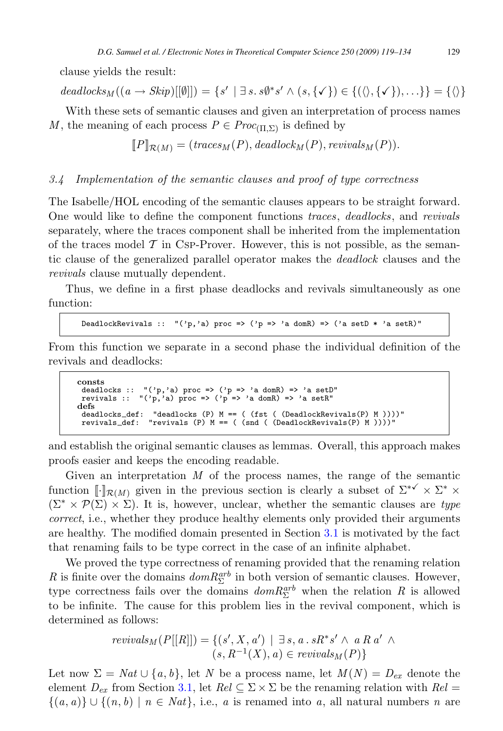clause yields the result:

deadlocks<sub>M</sub>  $((a \rightarrow Skip)[[\emptyset]]) = \{s' \mid \exists s. s\emptyset^* s' \land (s, \{\checkmark\}) \in \{(\langle \rangle, \{\checkmark\}), \ldots\} \} = \{\langle \rangle\}$ 

With these sets of semantic clauses and given an interpretation of process names M, the meaning of each process  $P \in \text{Proc}_{(\Pi,\Sigma)}$  is defined by

$$
[\![P]\!]_{\mathcal{R}(M)} = (trace_M(P), deadlock_M(P),revivals_M(P)).
$$

#### 3.4 Implementation of the semantic clauses and proof of type correctness

The Isabelle/HOL encoding of the semantic clauses appears to be straight forward. One would like to define the component functions traces, deadlocks, and revivals separately, where the traces component shall be inherited from the implementation of the traces model  $\mathcal T$  in Csp-Prover. However, this is not possible, as the semantic clause of the generalized parallel operator makes the deadlock clauses and the revivals clause mutually dependent.

Thus, we define in a first phase deadlocks and revivals simultaneously as one function:

DeadlockRevivals ::  $"('p,'a) proc => ('p =&>'a domR) =&>' ('a setD * 'a setR)"$ 

From this function we separate in a second phase the individual definition of the revivals and deadlocks:

```
consts
  deadlocks :: "('p,'a) proc => ('p => 'a domR) => 'a setD"
revivals :: "('p,'a) proc => ('p => 'a domR) => 'a setR"
defs
  deadlocks def: "deadlocks (P) M == ( (fst ( (DeadlockRevivals(P) M ))))"
revivals def: "revivals (P) M == ( (snd ( (DeadlockRevivals(P) M ))))"
```
and establish the original semantic clauses as lemmas. Overall, this approach makes proofs easier and keeps the encoding readable.

Given an interpretation  $M$  of the process names, the range of the semantic function  $\llbracket \cdot \rrbracket_{\mathcal{R}(M)}$  given in the previous section is clearly a subset of  $\Sigma^{*\checkmark} \times \Sigma^* \times$  $(\Sigma^* \times \mathcal{P}(\Sigma) \times \Sigma)$ . It is, however, unclear, whether the semantic clauses are type correct, i.e., whether they produce healthy elements only provided their arguments are healthy. The modified domain presented in Section [3.1](#page-5-0) is motivated by the fact that renaming fails to be type correct in the case of an infinite alphabet.

We proved the type correctness of renaming provided that the renaming relation R is finite over the domains  $dom R_{\Sigma}^{arb}$  in both version of semantic clauses. However, type correctness fails over the domains  $dom R_{\Sigma}^{arb}$  when the relation R is allowed to be infinite. The cause for this problem lies in the revival component, which is determined as follows:

$$
revivals_M(P[[R]]) = \{ (s', X, a') \mid \exists s, a \, . \, sR^*s' \land a R \, a' \land (s, R^{-1}(X), a) \in revivals_M(P) \}
$$

Let now  $\Sigma = Nat \cup \{a, b\}$ , let N be a process name, let  $M(N) = D_{ex}$  denote the element  $D_{ex}$  from Section [3.1,](#page-5-0) let  $Rel \subseteq \Sigma \times \Sigma$  be the renaming relation with  $Rel =$  $\{(a, a)\}\cup\{(n, b) \mid n \in Nat\},\$ i.e., a is renamed into a, all natural numbers n are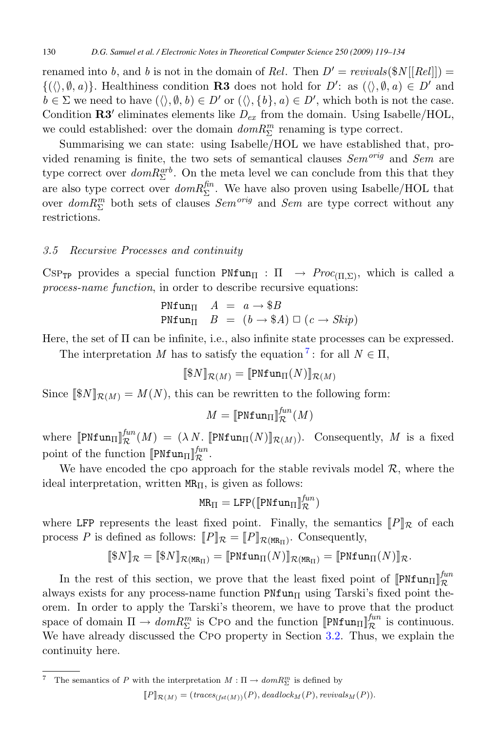renamed into b, and b is not in the domain of Rel. Then  $D' = revivals(\$N[[Rel]]) =$  $\{(\langle \rangle, \emptyset, a)\}.$  Healthiness condition **R3** does not hold for  $D'$ : as  $(\langle \rangle, \emptyset, a) \in D'$  and  $b \in \Sigma$  we need to have  $(\langle \rangle, \emptyset, b) \in D'$  or  $(\langle \rangle, \{b\}, a) \in D'$ , which both is not the case. Condition  $\mathbb{R}3'$  eliminates elements like  $D_{ex}$  from the domain. Using Isabelle/HOL, we could established: over the domain  $dom R_{\Sigma}^{m}$  renaming is type correct.

Summarising we can state: using Isabelle/HOL we have established that, provided renaming is finite, the two sets of semantical clauses  $Sem^{orig}$  and  $Sem$  are type correct over  $dom R_{\Sigma}^{arb}$ . On the meta level we can conclude from this that they are also type correct over  $dom R_{\Sigma}^{fin}$ . We have also proven using Isabelle/HOL that over  $dom R_{\Sigma}^{m}$  both sets of clauses  $Sem^{orig}$  and  $Sem$  are type correct without any restrictions.

#### 3.5 Recursive Processes and continuity

CSP<sub>TP</sub> provides a special function PNfun<sub>II</sub> :  $\Pi \rightarrow Proc_{(II,\Sigma)}$ , which is called a process-name function, in order to describe recursive equations:

$$
\begin{array}{lll} \text{PNfun}_{\Pi} & A & = & a \rightarrow \$ B \\ \text{PNfun}_{\Pi} & B & = & (b \rightarrow \$ A) \; \Box \; (c \rightarrow \mathit{Skip}) \end{array}
$$

Here, the set of Π can be infinite, i.e., also infinite state processes can be expressed.

The interpretation M has to satisfy the equation <sup>7</sup>: for all  $N \in \Pi$ ,

$$
[\![\$N]\!]_{\mathcal{R}(M)}=[\![\mathtt{PNfun}_\Pi(N)]\!]_{\mathcal{R}(M)}
$$

Since  $[\S\mathcal{N}]_{\mathcal{R}(M)} = M(N)$ , this can be rewritten to the following form:

$$
M = \llbracket \text{PNfun}_{\Pi} \rrbracket_{\mathcal{R}}^{fun}(M)
$$

where  $[\![\text{PNfun}_{\Pi}]\!]_{\mathcal{R}}^{fun}(M) = (\lambda N, [\![\text{PNfun}_{\Pi}(N)]\!]_{\mathcal{R}(M)})$ . Consequently, M is a fixed point of the function  $[\![\text{PNfun}_{\Pi}]\!]_{\mathcal{R}}^{fun}$ .

We have encoded the cpo approach for the stable revivals model  $\mathcal{R}$ , where the ideal interpretation, written  $MR_{\Pi}$ , is given as follows:

$$
MR_{\Pi} = LFP([\text{PNfun}_{\Pi}]\text{f}_{\mathcal{R}}^{fun})
$$

where LFP represents the least fixed point. Finally, the semantics  $||P||_{\mathcal{R}}$  of each process P is defined as follows:  $||P||_{\mathcal{R}} = ||P||_{\mathcal{R}(MR_{\Pi})}$ . Consequently,

$$
[\![\$N]\!]_{\mathcal{R}}=[\![\$N]\!]_{\mathcal{R}(\mathtt{MR}_{\Pi})}=[\![\mathtt{PNfun}_{\Pi}(N)]\!]_{\mathcal{R}(\mathtt{MR}_{\Pi})}=[\![\mathtt{PNfun}_{\Pi}(N)]\!]_{\mathcal{R}}.
$$

In the rest of this section, we prove that the least fixed point of  $[\text{PNTun}_{\Pi}]_{\mathcal{R}}^{fun}$ always exists for any process-name function  $\text{PNTun}_{\Pi}$  using Tarski's fixed point theorem. In order to apply the Tarski's theorem, we have to prove that the product space of domain  $\Pi \to dom R_{\Sigma}^{m}$  is Cpo and the function  $[\![\text{PNTun}_{\Pi}]\!]_{\mathcal{R}}^{fun}$  is continuous. We have already discussed the Cpo property in Section [3.2.](#page-7-0) Thus, we explain the continuity here.

<sup>7</sup> The semantics of P with the interpretation  $M : \Pi \to dom R_{\Sigma}^{m}$  is defined by

 $[P]_{\mathcal{R}(M)} = (traces_{(fst(M))}(P), deadlock_M(P),revivals_M(P)).$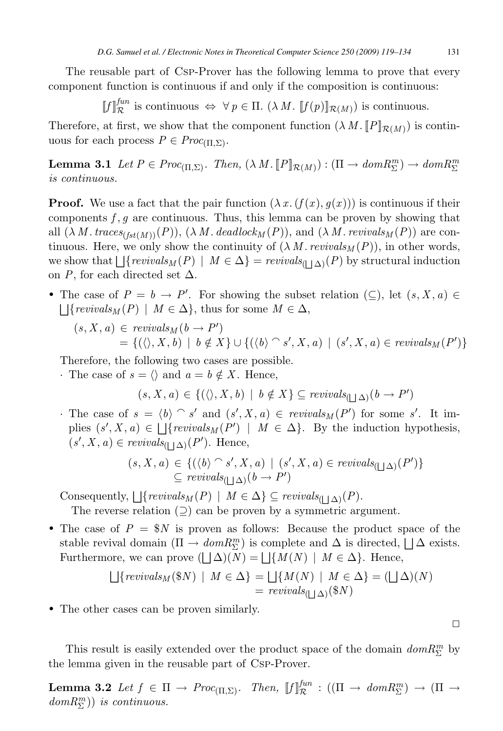<span id="page-12-0"></span>The reusable part of Csp-Prover has the following lemma to prove that every component function is continuous if and only if the composition is continuous:

 $\llbracket f \rrbracket_{\mathcal{R}}^{fun}$  is continuous  $\Leftrightarrow \forall p \in \Pi$ .  $(\lambda M) \llbracket f(p) \rrbracket_{\mathcal{R}(M)}$  is continuous.

Therefore, at first, we show that the component function  $(\lambda M. \|P\|_{\mathcal{R}(M)})$  is continuous for each process  $P \in \text{Proc}_{(\Pi,\Sigma)}$ .

**Lemma 3.1** Let  $P \in \text{Proc}_{(\Pi,\Sigma)}$ . Then,  $(\lambda M. [P]_{\mathcal{R}(M)}) : (\Pi \to \text{dom} R_{\Sigma}^m) \to \text{dom} R_{\Sigma}^m$ is continuous.

**Proof.** We use a fact that the pair function  $(\lambda x. (f(x), g(x)))$  is continuous if their components  $f, g$  are continuous. Thus, this lemma can be proven by showing that all  $(\lambda M. trace_{S(fst(M))}(P)), (\lambda M. deadlock<sub>M</sub>(P)),$  and  $(\lambda M. revivals<sub>M</sub>(P))$  are continuous. Here, we only show the continuity of  $(\lambda M \text{ } revivals_M(P))$ , in other words, we show that  $\bigcup \{revivals_M (P) \mid M \in \Delta \} = revivals_{(\bigsqcup \Delta)}(P)$  by structural induction on P, for each directed set  $\Delta$ .

• The case of  $P = b \rightarrow P'$ . For showing the subset relation  $(\subseteq)$ , let  $(s, X, a) \in$  $\left| \right|$  {revivals<sub>M</sub>(P) | M  $\in \Delta$ }, thus for some  $M \in \Delta$ ,

$$
(s, X, a) \in \text{revivals}_M(b \to P')
$$
  
= {( $\langle \rangle$ , X, b) | b \notin X} \cup {((b) \cap s', X, a) | (s', X, a) \in \text{revivals}\_M(P') }

Therefore, the following two cases are possible.

· The case of  $s = \langle \rangle$  and  $a = b \notin X$ . Hence,

 $(s, X, a) \in \{(\langle \rangle, X, b) \mid b \notin X\} \subseteq \text{revivals}_{(\bigsqcup \Delta)}(b \rightarrow P')$ 

· The case of  $s = \langle b \rangle \cap s'$  and  $(s', X, a) \in revivals_M(P')$  for some s'. It implies  $(s', X, a) \in \bigcup \{revivals_M(P') \mid M \in \Delta\}$ . By the induction hypothesis,  $(s', X, a) \in revivals_{(\bigsqcup \Delta)}(P')$ . Hence,

$$
(s, X, a) \in \{ (\langle b \rangle \cap s', X, a) \mid (s', X, a) \in revivals_{(\bigsqcup \Delta)}(P') \} \subseteq revivals_{(\bigsqcup \Delta)}(b \rightarrow P')
$$

Consequently,  $\bigcup \{revivals_M(P) \mid M \in \Delta \} \subseteq revivals_{(\bigsqcup \Delta)}(P)$ .

The reverse relation  $(2)$  can be proven by a symmetric argument.

• The case of  $P = $N$  is proven as follows: Because the product space of the stable revival domain  $(\Pi \to dom R_{\Sigma}^{m})$  is complete and  $\Delta$  is directed,  $\Box \Delta$  exists. Furthermore, we can prove  $(| \Delta)(N) = | \{ M(N) | M \in \Delta \}.$  Hence,

$$
\bigcup \{revivals_M(\$N) \mid M \in \Delta \} = \bigcup \{ M(N) \mid M \in \Delta \} = (\bigsqcup \Delta)(N)
$$
  
=  $revivals(\bigsqcup \Delta)(\$N)$ 

• The other cases can be proven similarly.

This result is easily extended over the product space of the domain  $\mathit{dom} R^m_\Sigma$  by the lemma given in the reusable part of Csp-Prover.

**Lemma 3.2** Let  $f \in \Pi \rightarrow \text{Proc}_{(\Pi,\Sigma)}$ . Then,  $\llbracket f \rrbracket_{\mathcal{R}}^{\text{fun}} : ((\Pi \rightarrow \text{dom} R_{\Sigma}^m) \rightarrow (\Pi \rightarrow$  $dom R_{\Sigma}^{m})$ ) is continuous.

 $\Box$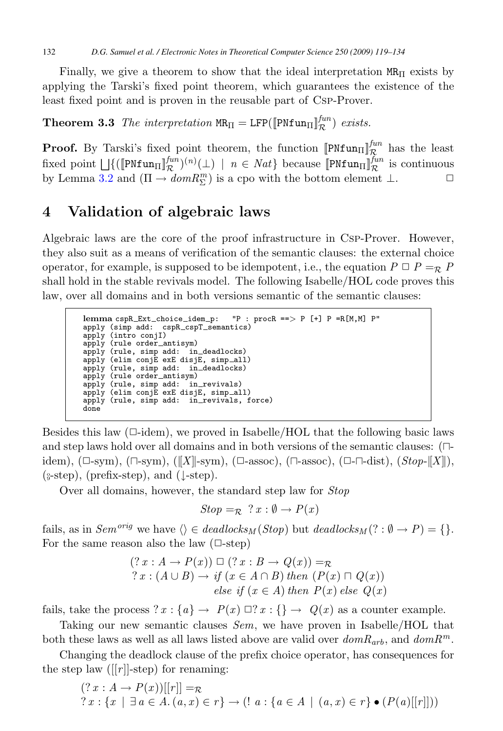<span id="page-13-0"></span>Finally, we give a theorem to show that the ideal interpretation  $MR_{\Pi}$  exists by applying the Tarski's fixed point theorem, which guarantees the existence of the least fixed point and is proven in the reusable part of Csp-Prover.

**Theorem 3.3** The interpretation  $MR_{\Pi} = LFP([\text{PNfun}_{\Pi}]_{\mathcal{R}}^{fun})$  exists.

**Proof.** By Tarski's fixed point theorem, the function  $[\text{PNTun}]_{R}^{fun}$  has the least fixed point  $\bigcup \{([\text{PNfun}_\Pi]^{\text{fun}}_{\mathcal{R}})^{(n)}(\bot) \mid n \in Nat \}$  because  $[\text{PNfun}_\Pi]^{\text{fun}}_{\mathcal{R}}$  is continuous by Lemma [3.2](#page-12-0) and  $(\Pi \to dom R_{\Sigma}^{m})$  is a cpo with the bottom element  $\bot$ .  $\Box$ 

## **4 Validation of algebraic laws**

Algebraic laws are the core of the proof infrastructure in Csp-Prover. However, they also suit as a means of verification of the semantic clauses: the external choice operator, for example, is supposed to be idempotent, i.e., the equation  $P \square P = R$ shall hold in the stable revivals model. The following Isabelle/HOL code proves this law, over all domains and in both versions semantic of the semantic clauses:

```
lemma cspR Ext choice idem p: "P : procR ==> P [+] P =R[M,M] P"
apply (simp add: cspR_cspT_semantics)apply (intro conjI)
apply (rule order antisym)
apply (rule, simp add: in deadlocks)
apply (elim conjE exE disjE, simp all)
apply (rule, simp add: in deadlocks)
apply (rule order antisym)
apply (rule, simp add: in revivals)
apply (elim conjE exE disjE, simp all)
apply (rule, simp add: in_revivals, force)
done
```
Besides this law  $(\Box \text{-idem})$ , we proved in Isabelle/HOL that the following basic laws and step laws hold over all domains and in both versions of the semantic clauses:  $(\Box$ idem),  $(\Box$ -sym),  $(\Box \text{-sym}), (\Vert X \Vert \text{-sym}), (\Box \text{-assoc}), (\Box \text{-assoc}), (\Box \text{-}\Box \text{-dist}), (Stop-[\Vert X \Vert),$  $(\text{s-step})$ , (prefix-step), and ( $\downarrow$ -step).

Over all domains, however, the standard step law for Stop

$$
Stop =_{\mathcal{R}} ?x : \emptyset \to P(x)
$$

fails, as in  $Sem^{orig}$  we have  $\langle \rangle \in deadlocks_M(Stop)$  but  $deadlocks_M(? : \emptyset \rightarrow P) = \{\}.$ For the same reason also the law  $(\Box \text{-step})$ 

$$
(? x : A \rightarrow P(x)) \square (? x : B \rightarrow Q(x)) = R
$$
  
\n
$$
? x : (A \cup B) \rightarrow if (x \in A \cap B) then (P(x) \cap Q(x))
$$
  
\n
$$
else if (x \in A) then P(x) else Q(x)
$$

fails, take the process  $x : \{a\} \rightarrow P(x) \square x : \{\} \rightarrow Q(x)$  as a counter example.

Taking our new semantic clauses Sem, we have proven in Isabelle/HOL that both these laws as well as all laws listed above are valid over  $dom R_{arb}$ , and  $dom R^m$ .

Changing the deadlock clause of the prefix choice operator, has consequences for the step law ([ $|r|$ ]-step) for renaming:

$$
(? x : A → P(x))[[r]] = \mathcal{R}
$$
  
\n
$$
? x : \{x \mid \exists a \in A. (a, x) \in r\} → (! a : \{a \in A \mid (a, x) \in r\} \bullet (P(a)[[r]])
$$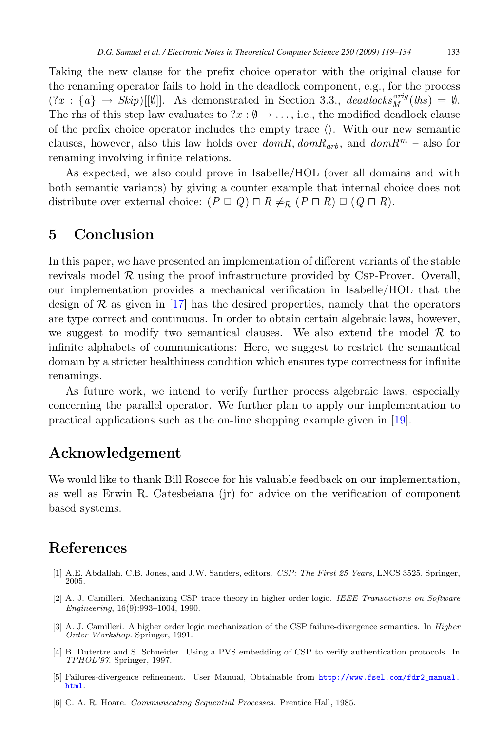<span id="page-14-0"></span>Taking the new clause for the prefix choice operator with the original clause for the renaming operator fails to hold in the deadlock component, e.g., for the process  $(?x : \{a\} \rightarrow \mathit{Skip})[[\emptyset]]$ . As demonstrated in Section 3.3., deadlocks<sup>orig</sup>(lhs) =  $\emptyset$ . The rhs of this step law evaluates to  $x : \emptyset \to \ldots$ , i.e., the modified deadlock clause of the prefix choice operator includes the empty trace  $\langle \rangle$ . With our new semantic clauses, however, also this law holds over  $domR, domR_{arb}$ , and  $domR<sup>m</sup> - also$  for renaming involving infinite relations.

As expected, we also could prove in Isabelle/HOL (over all domains and with both semantic variants) by giving a counter example that internal choice does not distribute over external choice:  $(P \sqcup Q) \sqcap R \neq_{\mathcal{R}} (P \sqcap R) \sqcup (Q \sqcap R)$ .

### **5 Conclusion**

In this paper, we have presented an implementation of different variants of the stable revivals model  $\mathcal R$  using the proof infrastructure provided by Csp-Prover. Overall, our implementation provides a mechanical verification in Isabelle/HOL that the design of  $\mathcal R$  as given in [\[17\]](#page-15-0) has the desired properties, namely that the operators are type correct and continuous. In order to obtain certain algebraic laws, however, we suggest to modify two semantical clauses. We also extend the model  $\mathcal R$  to infinite alphabets of communications: Here, we suggest to restrict the semantical domain by a stricter healthiness condition which ensures type correctness for infinite renamings.

As future work, we intend to verify further process algebraic laws, especially concerning the parallel operator. We further plan to apply our implementation to practical applications such as the on-line shopping example given in [\[19\]](#page-15-0).

### **Acknowledgement**

We would like to thank Bill Roscoe for his valuable feedback on our implementation, as well as Erwin R. Catesbeiana (jr) for advice on the verification of component based systems.

### **References**

- [1] A.E. Abdallah, C.B. Jones, and J.W. Sanders, editors. CSP: The First 25 Years, LNCS 3525. Springer, 2005.
- [2] A. J. Camilleri. Mechanizing CSP trace theory in higher order logic. IEEE Transactions on Software Engineering, 16(9):993–1004, 1990.
- [3] A. J. Camilleri. A higher order logic mechanization of the CSP failure-divergence semantics. In Higher Order Workshop. Springer, 1991.
- [4] B. Dutertre and S. Schneider. Using a PVS embedding of CSP to verify authentication protocols. In TPHOL'97. Springer, 1997.
- [5] Failures-divergence refinement. User Manual, Obtainable from [http://www.fsel.com/fdr2\\_manual.](http://www.fsel.com/fdr2_manual.html) [html](http://www.fsel.com/fdr2_manual.html).
- [6] C. A. R. Hoare. Communicating Sequential Processes. Prentice Hall, 1985.